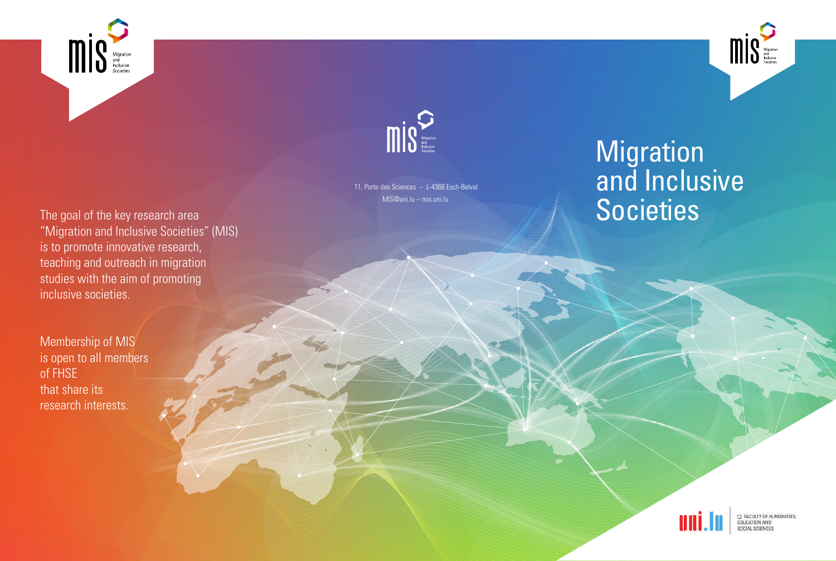



 11, Porte des Sciences – L-4366 Esch-Belval MIS@uni.lu – mis.uni.lu

# **Migration** and Inclusive **Societies**

 $\prod_{\text{end} \atop \text{Societies}}$ 

The goal of the key research area "Migration and Inclusive Societies" (MIS) is to promote innovative research, teaching and outreach in migration studies with the aim of promoting inclusive societies.

Membership of MIS is open to all members of FHSE that share its research interests.



C FACULTY OF HUMANITIES **EDUCATION AND** SOCIAL SCIENCES